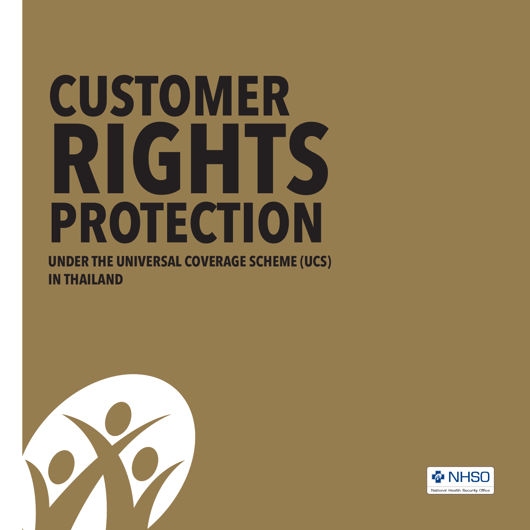# **CUSTOMER RIGHTS PROTECTION**

**UNDER THE UNIVERSAL COVERAGE SCHEME (UCS) IN THAILAND**



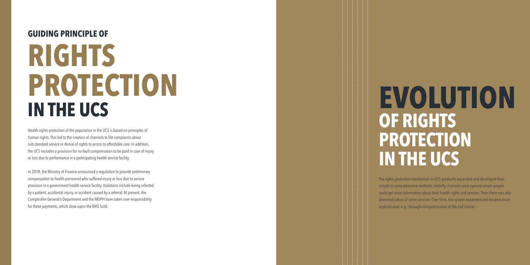#### **GUIDING PRINCIPLE OF**

# **RIGHTS PROTECTION IN THE UCS**

Health rights protection of the population in the UCS is based on principles of human rights. This led to the creation of channels to file complaints about sub-standard service or denial of rights to access to affordable care. In addition, the UCS includes a provision for no-fault compensation to be paid in case of injury or loss due to performance in a participating health service facility.

In 2018, the Ministry of Finance announced a regulation to provide preliminary compensation to health personnel who suffered injury or loss due to service provision in a government health service facility. Violations include being infected by a patient, accidental injury, or accident caused by a referral. At present, the Comptroller-General's Department and the MOPH have taken over responsibility for these payments, which draw upon the NHS fund.

# **EVOLUTION OF RIGHTS PROTECTION IN THE UCS**

The rights protection mechanism in UCS gradually expanded and developed from simple to comprehensive methods. Initially, channels were opened where people could get more information about their health rights and services. Then there was also decentralization of some services. Over time, the system expanded and became more sophisticated, e.g., through computerization of the Call Center.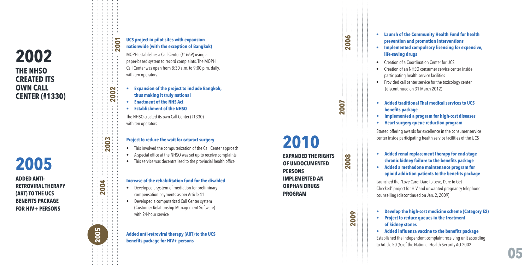#### **THE NHSO CREATED ITS OWN CALL CENTER (#1330) 2002**

## **2005**

**ADDED ANTI-RETROVIRAL THERAPY (ART) TO THE UCS BENEFITS PACKAGE FOR HIV+ PERSONS**

#### **UCS project in pilot sites with expansion nationwide (with the exception of Bangkok)**

MOPH establishes a Call Center (#1669) using a paper-based system to record complaints. The MOPH Call Center was open from 8:30 a.m. to 9:00 p.m. daily, with ten operators.

- **thus making it truly national**
- **• Enactment of the NHS Act**

**2002**

**200** 

**2003**

**2004**

2005

**• Establishment of the NHSO** 

The NHSO created its own Call Center (#1330) with ten operators

#### **Project to reduce the wait for cataract surgery**

- This involved the computerization of the Call Center approach
- A special office at the NHSO was set up to receive complaints
- This service was decentralized to the provincial health office

#### **Increase of the rehabilitation fund for the disabled**

- Developed a system of mediation for preliminary compensation payments as per Article 41
- **expansion of the project to include Bangkok,<br>
thus making it truly national<br>
<b>expansion of the NHS Act**<br> **expansion of the NHS Act**<br> **From ACC** The NHSO created its own Call Center (#1330)<br>
with ten operators<br> **Project to** • Developed a computerized Call Center system (Customer Relationship Management Software) with 24-hour service

# **Added anti-retroviral therapy (ART) to the UCS 2005 2004 2004 2003 2002 2003 2007 2007 2007**

## **2010**

**EXPANDED THE RIGHTS OF UNDOCUMENTED PERSONS IMPLEMENTED AN ORPHAN DRUGS PROGRAM**

**2008**

**2007**

**2006**

**2009**

- **• Launch of the Community Health Fund for health prevention and promotion interventions**
- **• Implemented compulsory licensing for expensive, life-saving drugs**
- Creation of a Coordination Center for UCS
- Creation of an NHSO consumer service center inside participating health service facilities
- Provided call center service for the toxicology center (discontinued on 31 March 2012)
- **benefits package**
- **• Implemented a program for high-cost diseases**
- **• Heart surgery queue reduction program**

Started offering awards for excellence in the consumer service center inside participating health service facilities of the UCS

- **• Added renal replacement therapy for end-stage chronic kidney failure to the benefits package**
- **• Added a methadone maintenance program for opioid addiction patients to the benefits package**

Launched the "Love Care: Dare to Love, Dare to Get Checked" project for HIV and unwanted pregnancy telephone counselling (discontinued on Jan. 2, 2009) • **Added traditional Thai medical services to UCS**<br>• **Implemented a program for high-cost diseases**<br>• **Heart surgery queue reduction program**<br>Started offering awards for excellence in the consumer ser<br>center inside partici

- **• Develop the high-cost medicine scheme (Category E2)**
- **• Project to reduce queues in the treatment of kidney stones**
- **• Added influenza vaccine to the benefits package**

Established the independent complaint receiving unit according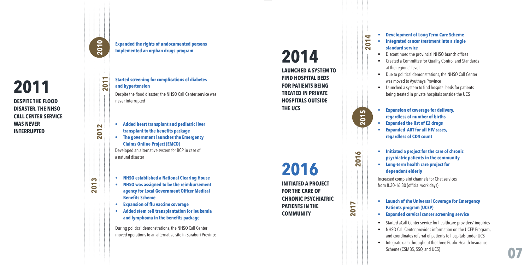#### **DESPITE THE FLOOD DISASTER, THE NHSO CALL CENTER SERVICE WAS NEVER INTERRUPTED 2011**

#### **Expanded the rights of undocumented persons Implemented an orphan drugs program**

**2010**

**2011**

**2012**

**2013**

**Started screening for complications of diabetes and hypertension** Despite the flood disaster, the NHSO Call Center service was never interrupted

- **• Added heart transplant and pediatric liver transplant to the benefits package**
- **• The government launches the Emergency Claims Online Project (EMCO)** Developed an alternative system for BCP in case of a natural disaster
- 
- **NHSO established a National Clearing House**<br>• **NHSO was assigned to be the reimbursement agency for Local Government Officer Medical Benefits Scheme**<br>• **Expansion of flu vaccine coverage Added stem cell transplantat agency for Local Government Officer Medical Benefits Scheme**
- **• Expansion of flu vaccine coverage**
- **• Added stem cell transplantation for leukemia and lymphoma in the benefits package**

During political demonstrations, the NHSO Call Center

# **2014**

**LAUNCHED A SYSTEM TO FIND HOSPITAL BEDS FOR PATIENTS BEING TREATED IN PRIVATE HOSPITALS OUTSIDE THE UCS**

**FOR THE CARE OF PATIENTS IN THE 2016**

- **• Development of Long Term Care Scheme**
- **• Integrated cancer treatment into a single standard service**
- Discontinued the provincial NHSO branch offices
- Created a Committee for Quality Control and Standards at the regional level
- Due to political demonstrations, the NHSO Call Center was moved to Ayuthaya Province
- Launched a system to find hospital beds for patients being treated in private hospitals outside the UCS
- **• Expansion of coverage for delivery, regardless of number of births**
- **• Expanded the list of E2 drugs**
- **• Expanded ART for all HIV cases, regardless of CD4 count**
- **• Initiated a project for the care of chronic psychiatric patients in the community**
- **• Long-term health care project for dependent elderly**

**2016**

**2015 2014**

2015

 $\blacktriangleleft$ 201

**2017**

Increased complaint channels for Chat services from 8.30-16.30 (official work days)

- **• Launch of the Universal Coverage for Emergency Patients program (UCEP)**
- **• Expanded cervical cancer screening service**
- Started aCall Center service for healthcare providers' inquiries
- NHSO Call Center provides information on the UCEP Program, and coordinates referral of patients to hospitals under UCS
- Integrate data throughout the three Public Health Insurance Scheme (CSMBS, SSO, and UCS)

**INITIATED A PROJECT CHRONIC PSYCHIATRIC COMMUNITY**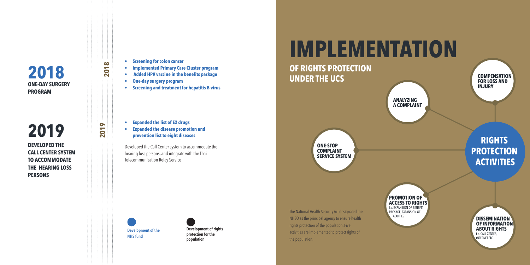

#### **DEVELOPED THE CALL CENTER SYSTEM TO ACCOMMODATE THE HEARING LOSS PERSONS 2019**

- **• Screening for colon cancer**
- **• Implemented Primary Care Cluster program**
- **Added HPV vaccine in the benefits package**
- **• One-day surgery program**

**2019 2018**

019  $\overline{\mathbf{N}}$ 

2018

**• Screening and treatment for hepatitis B virus**

- **• Expanded the list of E2 drugs**
- **• Expanded the disease promotion and prevention list to eight diseases**

Developed the Call Center system to accommodate the hearing loss persons, and integrate with the Thai Telecommunication Relay Service





**Development of rights protection for the population**

**IMPLEMENTATION** 

#### **OF RIGHTS PROTECTION UNDER THE UCS**

**ONE-STOP COMPLAINT SERVICE SYSTEM** 

The National Health Security Act designated the NHSO as the principal agency to ensure health rights protection of the population. Five activities are implemented to protect rights of the population.

#### **PROMOTION OF ACCESS TO RIGHTS** i.e. EXPANSION OF BENEFIT PACKAGE, EXPANSION OF **FACILITIES**

**ANALYZING A COMPLAINT** 

> **DISSEMINATION OF INFORMATION ABOUT RIGHTS** i.e. CALL CENTER, **INTERNET ETC**

**COMPENSATION FOR LOSS AND INJURY** 

**RIGHTS** 

**PROTECTION** 

**ACTIVITIES**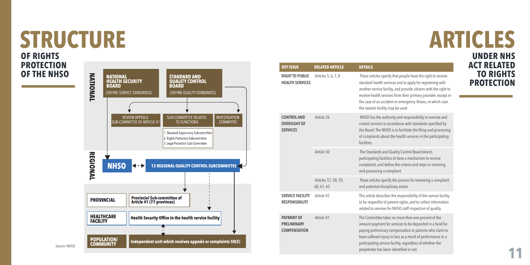## **STRUCTURE OF RIGHTS**

**PROTECTION OF THE NHSO**



| <b>KEY ISSUE</b>                                               | <b>RELATED ARTICLE</b>             | <b>DETAILS</b>                                                                                                                                                                                                                                                                                                                                                      |
|----------------------------------------------------------------|------------------------------------|---------------------------------------------------------------------------------------------------------------------------------------------------------------------------------------------------------------------------------------------------------------------------------------------------------------------------------------------------------------------|
| <b>RIGHTTO PUBLIC</b><br><b>HEALTH SERVICES</b>                | Articles 5, 6, 7, 8                | These articles specify that people have the right to receive<br>standard health services and to apply for registering with<br>another service facility, and provide citizens with the right to<br>receive health services from their primary provider, except in<br>the case of an accident or emergency illness, in which case<br>the nearest facility may be used |
| <b>CONTROL AND</b><br><b>OVERSIGHT OF</b><br><b>SERVICES</b>   | Article 26                         | NHSO has the authority and responsibility to oversee and<br>control services in accordance with standards specified by<br>the Board. The NHSO is to facilitate the filing and processing<br>of complaints about the health services in the participating<br>facilities.                                                                                             |
|                                                                | Article 50                         | The Standards and Quality Control Board directs<br>participating facilities to have a mechanism to receive<br>complaints, and define the criteria and steps in receiving<br>and processing a complaint                                                                                                                                                              |
|                                                                | Articles 57, 58, 59,<br>60, 61, 62 | These articles specify the process for reviewing a complaint<br>and potential disciplinary action                                                                                                                                                                                                                                                                   |
| <b>SERVICE FACILITY</b><br><b>RESPONSIBILITY</b>               | Article 45                         | This article describes the responsibility of the service facility<br>to be respectful of patient rights, and to collect information<br>related to services for NHSO staff inspection of quality                                                                                                                                                                     |
| <b>PAYMENT OF</b><br><b>PRELIMINARY</b><br><b>COMPENSATION</b> | Article 41                         | The Committee takes no more than one percent of the<br>amount payment for services to be deposited in a fund for<br>paying preliminary compensation to patients who claim to<br>have suffered injury or loss as a result of performance in a<br>participating service facility, regardless of whether the<br>perpetrator has been identified or not.                |

# **ARTICLES**

**UNDER NHS ACT RELATED TO RIGHTS PROTECTION**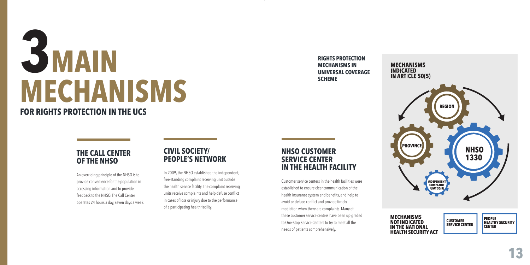# **3MAIN MECHANISMS**

#### **FOR RIGHTS PROTECTION IN THE UCS**

#### **THE CALL CENTER OF THE NHSO**

An overriding principle of the NHSO is to provide convenience for the population in accessing information and to provide feedback to the NHSO. The Call Center operates 24 hours a day, seven days a week.

#### **CIVIL SOCIETY/ PEOPLE'S NETWORK**

In 2009, the NHSO established the independent, free-standing complaint receiving unit outside the health service facility. The complaint receiving units receive complaints and help defuse conflict in cases of loss or injury due to the performance of a participating health facility.

#### **NHSO CUSTOMER SERVICE CENTER IN THE HEALTH FACILITY**

Customer service centers in the health facilities were established to ensure clear communication of the health insurance system and benefits, and help to avoid or defuse conflict and provide timely mediation when there are complaints. Many of these customer service centers have been up-graded to One-Stop Service Centers to try to meet all the needs of patients comprehensively.

**RIGHTS PROTECTION MECHANISMS IN UNIVERSAL COVERAGE SCHEME**



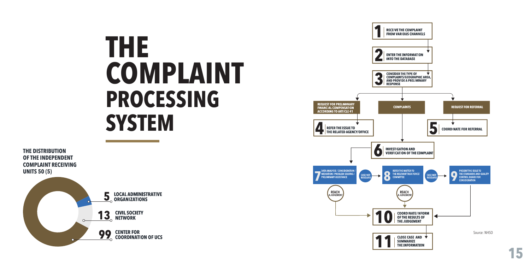# **THE COMPLAINT PROCESSING SYSTEM**



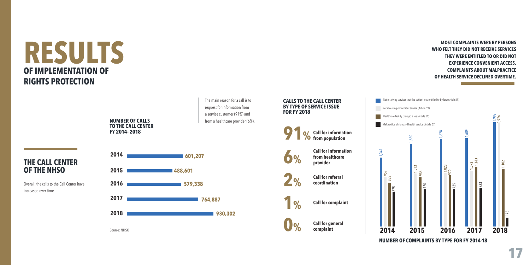## **RESULTS OF IMPLEMENTATION OF RIGHTS PROTECTION**

**OF THE NHSO** 

increased over time.



Source: NHSO

The main reason for a call is to request for information from a service customer (91%) and from a healthcare provider (6%).

■ 930,302

#### **CALLS TO THE CALL CENTER BY TYPE OF SERVICE ISSUE FOR FY 2018**



**Call for general complaint**

**0%**



#### **MOST COMPLAINTS WERE BY PERSONS WHO FELT THEY DID NOT RECEIVE SERVICES THEY WERE ENTITLED TO OR DID NOT EXPERIENCE CONVENIENT ACCESS. COMPLAINTS ABOUT MALPRACTICE OF HEALTH SERVICE DECLINED OVERTIME.**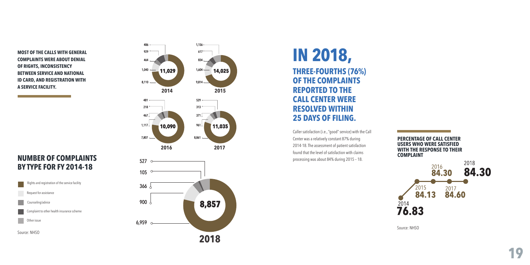**MOST OF THE CALLS WITH GENERAL COMPLAINTS WERE ABOUT DENIAL OF RIGHTS, INCONSISTENCY BETWEEN SERVICE AND NATIONAL ID CARD, AND REGISTRATION WITH A SERVICE FACILITY.**

#### **NUMBER OF COMPLAINTS BY TYPE FOR FY 2014-18**



Source: NHSO





#### **IN 2018, THREE-FOURTHS (76%) OF THE COMPLAINTS REPORTED TO THE CALL CENTER WERE RESOLVED WITHIN 25 DAYS OF FILING.**

Caller satisfaction (i.e., "good" service) with the Call Center was a relatively constant 87% during 2014-18. The assessment of patient satisfaction found that the level of satisfaction with claims processing was about 84% during 2015 – 18.

**PERCENTAGE OF CALL CENTER USERS WHO WERE SATISFIED WITH THE RESPONSE TO THEIR COMPLAINT**



Source: NHSO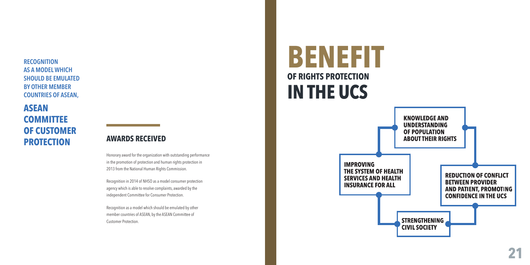**RECOGNITION AS A MODEL WHICH SHOULD BE EMULATED BY OTHER MEMBER COUNTRIES OF ASEAN,**

#### **ASEAN COMMITTEE OF CUSTOMER PROTECTION**

#### **AWARDS RECEIVED**

Honorary award for the organization with outstanding performance in the promotion of protection and human rights protection in 2013 from the National Human Rights Commission.

Recognition in 2014 of NHSO as a model consumer protection agency which is able to resolve complaints, awarded by the independent Committee for Consumer Protection.

Recognition as a model which should be emulated by other member countries of ASEAN, by the ASEAN Committee of Customer Protection.

# **BENEFIT OF RIGHTS PROTECTION IN THE UCS**

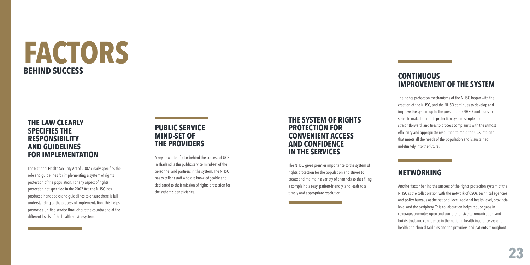# **FACTORS BEHIND SUCCESS**

#### **THE LAW CLEARLY SPECIFIES THE RESPONSIBILITY AND GUIDELINES FOR IMPLEMENTATION**

and the control of the control of the control of the control of the control of

The National Health Security Act of 2002 clearly specifies the role and guidelines for implementing a system of rights protection of the population. For any aspect of rights protection not specified in the 2002 Act, the NHSO has produced handbooks and guidelines to ensure there is full understanding of the process of implementation. This helps promote a unified service throughout the country and at the different levels of the health service system.

#### **PUBLIC SERVICE MIND-SET OF THE PROVIDERS**

A key unwritten factor behind the success of UCS in Thailand is the public service mind-set of the personnel and partners in the system. The NHSO has excellent staff who are knowledgeable and dedicated to their mission of rights protection for the system's beneficiaries.

#### **THE SYSTEM OF RIGHTS PROTECTION FOR CONVENIENT ACCESS AND CONFIDENCE IN THE SERVICES**

The NHSO gives premier importance to the system of rights protection for the population and strives to create and maintain a variety of channels so that filing a complaint is easy, patient-friendly, and leads to a timely and appropriate resolution.

#### **CONTINUOUS IMPROVEMENT OF THE SYSTEM**

The rights protection mechanisms of the NHSO began with the creation of the NHSO, and the NHSO continues to develop and improve the system up to the present. The NHSO continues to strive to make the rights protection system simple and straightforward, and tries to process complaints with the utmost efficiency and appropriate resolution to mold the UCS into one that meets all the needs of the population and is sustained indefinitely into the future.

#### **NETWORKING**

Another factor behind the success of the rights protection system of the NHSO is the collaboration with the network of CSOs, technical agencies and policy bureaus at the national level, regional health level, provincial level and the periphery. This collaboration helps reduce gaps in coverage, promotes open and comprehensive communication, and builds trust and confidence in the national health insurance system, health and clinical facilities and the providers and patients throughout.